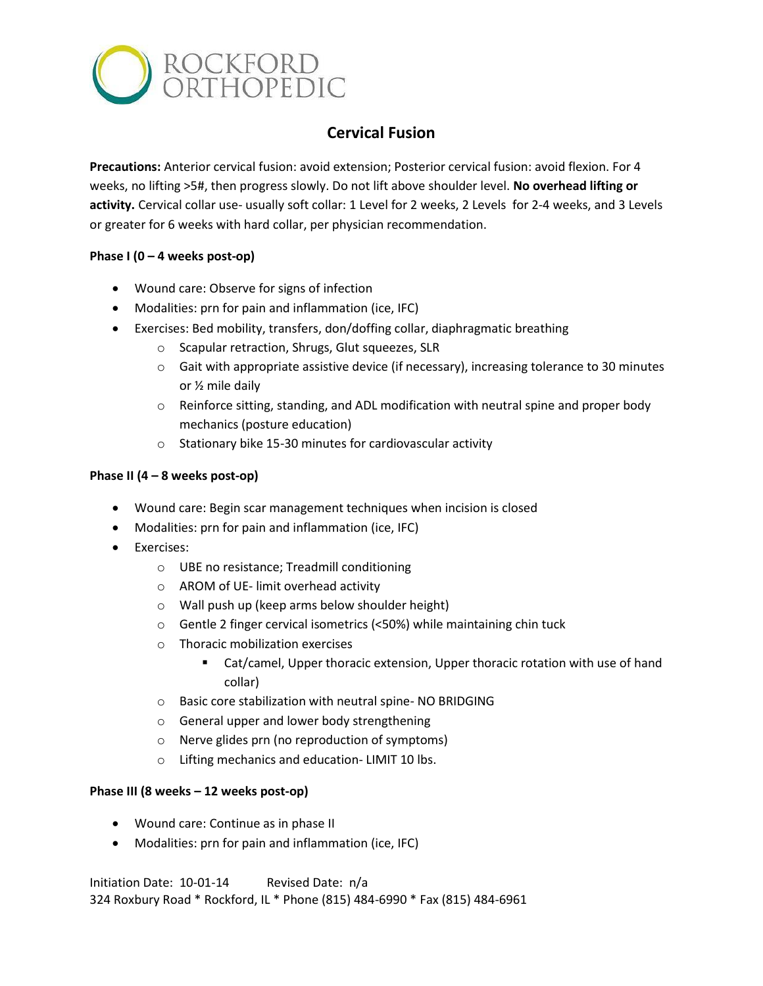

# **Cervical Fusion**

**Precautions:** Anterior cervical fusion: avoid extension; Posterior cervical fusion: avoid flexion. For 4 weeks, no lifting >5#, then progress slowly. Do not lift above shoulder level. **No overhead lifting or activity.** Cervical collar use- usually soft collar: 1 Level for 2 weeks, 2 Levels for 2-4 weeks, and 3 Levels or greater for 6 weeks with hard collar, per physician recommendation.

## **Phase I (0 – 4 weeks post-op)**

- Wound care: Observe for signs of infection
- Modalities: prn for pain and inflammation (ice, IFC)
- Exercises: Bed mobility, transfers, don/doffing collar, diaphragmatic breathing
	- o Scapular retraction, Shrugs, Glut squeezes, SLR
	- $\circ$  Gait with appropriate assistive device (if necessary), increasing tolerance to 30 minutes or ½ mile daily
	- $\circ$  Reinforce sitting, standing, and ADL modification with neutral spine and proper body mechanics (posture education)
	- o Stationary bike 15-30 minutes for cardiovascular activity

### **Phase II (4 – 8 weeks post-op)**

- Wound care: Begin scar management techniques when incision is closed
- Modalities: prn for pain and inflammation (ice, IFC)
- Exercises:
	- o UBE no resistance; Treadmill conditioning
	- o AROM of UE- limit overhead activity
	- o Wall push up (keep arms below shoulder height)
	- o Gentle 2 finger cervical isometrics (<50%) while maintaining chin tuck
	- o Thoracic mobilization exercises
		- Cat/camel, Upper thoracic extension, Upper thoracic rotation with use of hand collar)
	- o Basic core stabilization with neutral spine- NO BRIDGING
	- o General upper and lower body strengthening
	- o Nerve glides prn (no reproduction of symptoms)
	- o Lifting mechanics and education- LIMIT 10 lbs.

### **Phase III (8 weeks – 12 weeks post-op)**

- Wound care: Continue as in phase II
- Modalities: prn for pain and inflammation (ice, IFC)

Initiation Date: 10-01-14 Revised Date: n/a 324 Roxbury Road \* Rockford, IL \* Phone (815) 484-6990 \* Fax (815) 484-6961